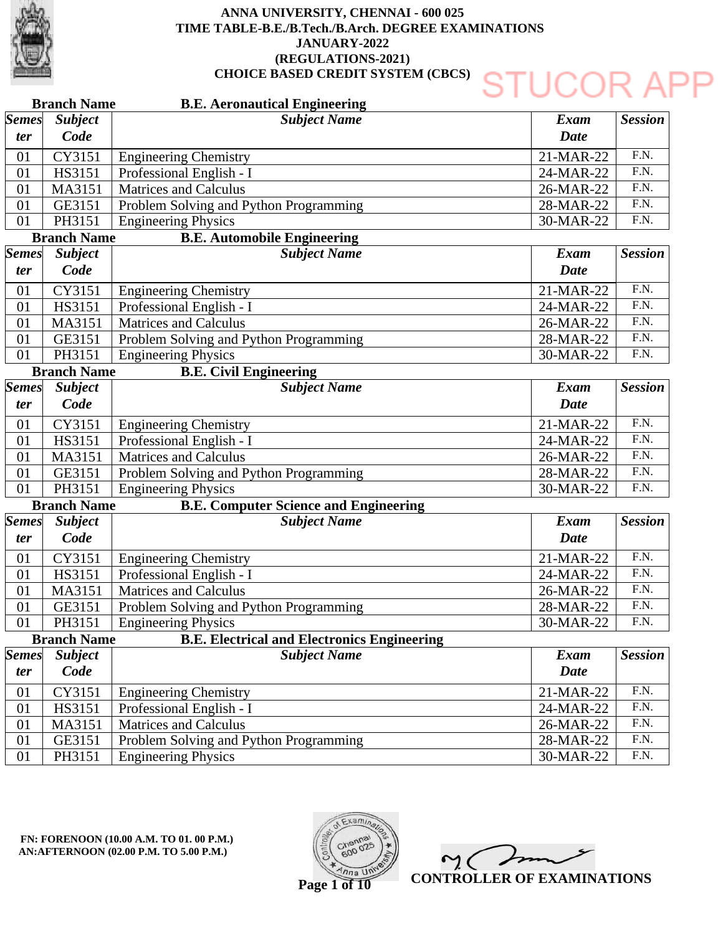

|                     | <b>Branch Name</b>     | <b>B.E. Aeronautical Engineering</b>               |                     |                    |
|---------------------|------------------------|----------------------------------------------------|---------------------|--------------------|
| <b>Semes</b><br>ter | <b>Subject</b><br>Code | <b>Subject Name</b>                                | Exam<br><b>Date</b> | <b>Session</b>     |
| 01                  | CY3151                 | <b>Engineering Chemistry</b>                       | 21-MAR-22           | $\overline{F.N.}$  |
| 01                  | HS3151                 | Professional English - I                           | 24-MAR-22           | $\overline{F.N.}$  |
| 01                  | MA3151                 | <b>Matrices and Calculus</b>                       | 26-MAR-22           | F.N.               |
| 01                  | GE3151                 | Problem Solving and Python Programming             | 28-MAR-22           | $\overline{F.N.}$  |
| 01                  | PH3151                 | <b>Engineering Physics</b>                         | 30-MAR-22           | F.N.               |
|                     | <b>Branch Name</b>     | <b>B.E. Automobile Engineering</b>                 |                     |                    |
| <b>Semes</b>        | <b>Subject</b>         | <b>Subject Name</b>                                | <b>Exam</b>         | <b>Session</b>     |
| ter                 | Code                   |                                                    | <b>Date</b>         |                    |
| 01                  | CY3151                 | <b>Engineering Chemistry</b>                       | 21-MAR-22           | $\overline{F.N.}$  |
| 01                  | HS3151                 | Professional English - I                           | 24-MAR-22           | $\overline{F.N.}$  |
| 01                  | MA3151                 | <b>Matrices and Calculus</b>                       | 26-MAR-22           | $\overline{F.N.}$  |
| 01                  | GE3151                 | Problem Solving and Python Programming             | 28-MAR-22           | $\overline{F.N.}$  |
| 01                  | PH3151                 | <b>Engineering Physics</b>                         | 30-MAR-22           | F.N.               |
|                     | <b>Branch Name</b>     | <b>B.E. Civil Engineering</b>                      |                     |                    |
| <b>Semes</b>        | <b>Subject</b>         | <b>Subject Name</b>                                | <b>Exam</b>         | <b>Session</b>     |
| <i>ter</i>          | Code                   |                                                    | <b>Date</b>         |                    |
| 01                  | CY3151                 | <b>Engineering Chemistry</b>                       | 21-MAR-22           | $\overline{F.N.}$  |
| 01                  | HS3151                 | Professional English - I                           | 24-MAR-22           | $\overline{F.N.}$  |
| 01                  | MA3151                 | <b>Matrices and Calculus</b>                       | 26-MAR-22           | $\overline{F.N.}$  |
| 01                  | GE3151                 | Problem Solving and Python Programming             | 28-MAR-22           | F.N.               |
| 01                  | PH3151                 | <b>Engineering Physics</b>                         | 30-MAR-22           | $\overline{F.N.}$  |
|                     | <b>Branch Name</b>     | <b>B.E. Computer Science and Engineering</b>       |                     |                    |
| <b>Semes</b>        | <b>Subject</b>         | <b>Subject Name</b>                                | <b>Exam</b>         | <b>Session</b>     |
| <i>ter</i>          | Code                   |                                                    | <b>Date</b>         |                    |
| 01                  | CY3151                 | <b>Engineering Chemistry</b>                       | 21-MAR-22           | F.N.               |
| 01                  | HS3151                 | Professional English - I                           | 24-MAR-22           | $\overline{F.N.}$  |
| 01                  | MA3151                 | <b>Matrices and Calculus</b>                       | 26-MAR-22           | $\overline{F.N.}$  |
| 01                  | GE3151                 | Problem Solving and Python Programming             | 28-MAR-22           | F.N.               |
| $01\,$              | PH3151                 | <b>Engineering Physics</b>                         | 30-MAR-22           | $\overline{F}$ .N. |
|                     | <b>Branch Name</b>     | <b>B.E. Electrical and Electronics Engineering</b> |                     |                    |
| <b>Semes</b>        | <b>Subject</b>         | <b>Subject Name</b>                                | <b>Exam</b>         | <b>Session</b>     |
| <i>ter</i>          | Code                   |                                                    | <b>Date</b>         |                    |
| 01                  | CY3151                 | <b>Engineering Chemistry</b>                       | 21-MAR-22           | F.N.               |
| 01                  | HS3151                 | Professional English - I                           | 24-MAR-22           | F.N.               |
| 01                  | MA3151                 | <b>Matrices and Calculus</b>                       | 26-MAR-22           | F.N.               |
| 01                  | GE3151                 | Problem Solving and Python Programming             | 28-MAR-22           | F.N.               |
| 01                  | PH3151                 | <b>Engineering Physics</b>                         | 30-MAR-22           | F.N.               |

**FN: FORENOON (10.00 A.M. TO 01. 00 P.M.) AN:AFTERNOON (02.00 P.M. TO 5.00 P.M.)** 



Y C **CONTROLLER OF EXAMINATIONS**

**Page 1 of 10**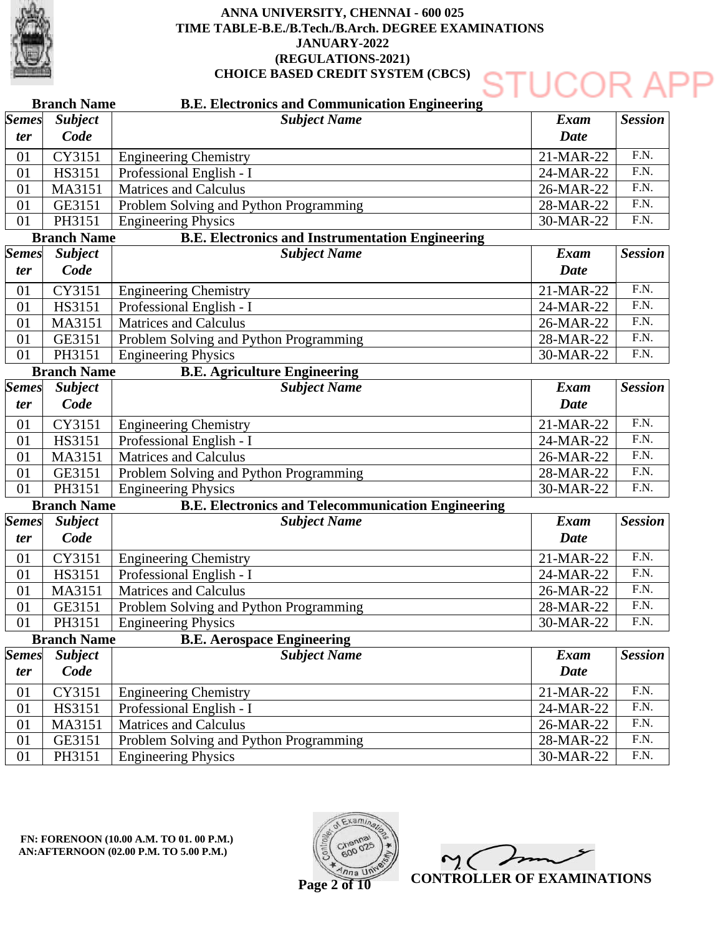

### **Branch Name Branch Name Branch Name Branch Name Branch Name B.E. Electronics and Communication Engineering B.E. Electronics and Instrumentation Engineering B.E. Agriculture Engineering B.E. Electronics and Telecommunication Engineering B.E. Aerospace Engineering** 01 01 01  $\overline{01}$ 01 01 01 01 01 01 01 01 01 01 01 01 01 01 01 01 01 01 01 01 01 *Semes ter Semes ter Semes ter Semes ter Semes ter Subject Name Subject Name Subject Name Subject Name Subject Name Subject Code Subject Code Subject Code Subject Code Subject Code* Engineering Chemistry Professional English - I Matrices and Calculus Problem Solving and Python Programming Engineering Physics Engineering Chemistry Professional English - I Matrices and Calculus Problem Solving and Python Programming Engineering Physics Engineering Chemistry Professional English - I Matrices and Calculus Problem Solving and Python Programming Engineering Physics Engineering Chemistry Professional English - I Matrices and Calculus Problem Solving and Python Programming Engineering Physics Engineering Chemistry Professional English - I Matrices and Calculus Problem Solving and Python Programming Engineering Physics CY3151 HS3151 MA3151 GE3151 PH3151 CY3151 HS3151 MA3151 GE3151 PH3151 CY3151 HS3151 MA3151 GE3151 PH3151 CY3151 HS3151 MA3151 GE3151 PH3151 CY3151 HS3151 MA3151 GE3151 PH3151 21-MAR-22 24-MAR-22 26-MAR-22 28-MAR-22 30-MAR-22 21-MAR-22 24-MAR-22 26-MAR-22 28-MAR-22 30-MAR-22 21-MAR-22 24-MAR-22 26-MAR-22 28-MAR-22 30-MAR-22 21-MAR-22 24-MAR-22 26-MAR-22 28-MAR-22 30-MAR-22 21-MAR-22 24-MAR-22 26-MAR-22 28-MAR-22 30-MAR-22 *Exam Date Exam Date Exam Date Exam Date Exam Date Session Session Session Session Session* F.N. F.N. F.N. F.N. F.N. F.N. F.N. F.N. F.N. F.N. F.N. F.N. F.N.  $FN$ F.N. F.N. F.N. F.N. F.N. F.N. F.N. F.N. F.N. F.N. F.N.



**CONTROLLER OF EXAMINATIONS**

**Page 2 of 10**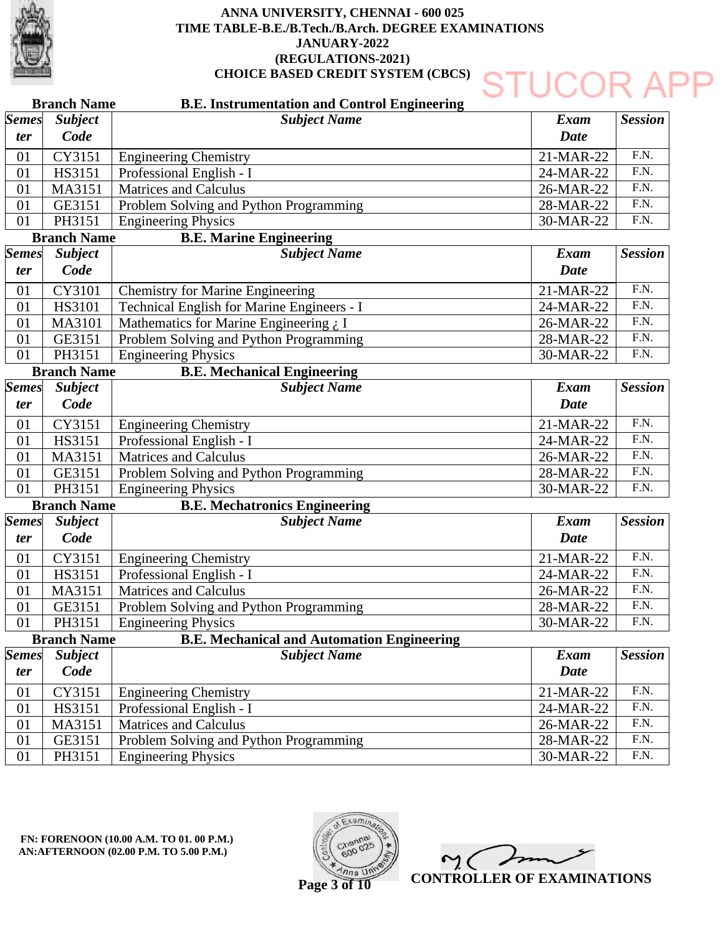

### DR A **B.E. Instrumentation and Control Engineering Branch Name** *Subject Name Semes Subject Exam Session Code ter Date* F.N. CY3151 Engineering Chemistry 21-MAR-22 01 F.N. HS3151 Professional English - I 01 24-MAR-22 F.N. MA3151 Matrices and Calculus 26-MAR-22 01 F.N.  $\overline{01}$ GE3151 Problem Solving and Python Programming 28-MAR-22 PH3151 Engineering Physics 30-MAR-22 F.N. 01 **B.E. Marine Engineering Branch Name** *Semes Subject Subject Name Exam Session Code ter Date* F.N. CY3101 21-MAR-22 01 Chemistry for Marine Engineering F.N. 01 HS3101 Technical English for Marine Engineers - I 24-MAR-22 01 MA3101 Mathematics for Marine Engineering  $\chi$  I 26-MAR-22 F.N. Problem Solving and Python Programming F.N. 01 GE3151 28-MAR-22 F.N. PH3151 Engineering Physics 30-MAR-22 01 **B.E. Mechanical Engineering Branch Name** *Subject Subject Name Exam Session Semes Code Date ter* F.N. 01 CY3151 Engineering Chemistry 21-MAR-22 F.N. 01 HS3151 Professional English - I 24-MAR-22 F.N. 01 MA3151 Matrices and Calculus 26-MAR-22  $FN$ 01 GE3151 Problem Solving and Python Programming 28-MAR-22 PH3151 Engineering Physics 30-MAR-22 F.N. 01 **Branch Name B.E. Mechatronics Engineering** *Semes Subject Subject Name Exam Session ter Code Date* F.N. 01 CY3151 Engineering Chemistry 21-MAR-22 F.N. 01 HS3151 Professional English - I 24-MAR-22 01 MA3151 Matrices and Calculus 26-MAR-22 F.N. Problem Solving and Python Programming F.N. 01 GE3151 28-MAR-22 PH3151 Engineering Physics F.N. 01 30-MAR-22 **Branch Name B.E. Mechanical and Automation Engineering** *Semes Subject Subject Name Exam Session Code Date ter* F.N. CY3151 21-MAR-22 01 Engineering Chemistry Professional English - I 24-MAR-22 F.N. 01 HS3151 F.N. 01 MA3151 Matrices and Calculus 26-MAR-22 F.N. 01 GE3151 Problem Solving and Python Programming 28-MAR-22 F.N.01 PH3151 Engineering Physics 30-MAR-22



**CONTROLLER OF EXAMINATIONS**

**Page 3 of 10**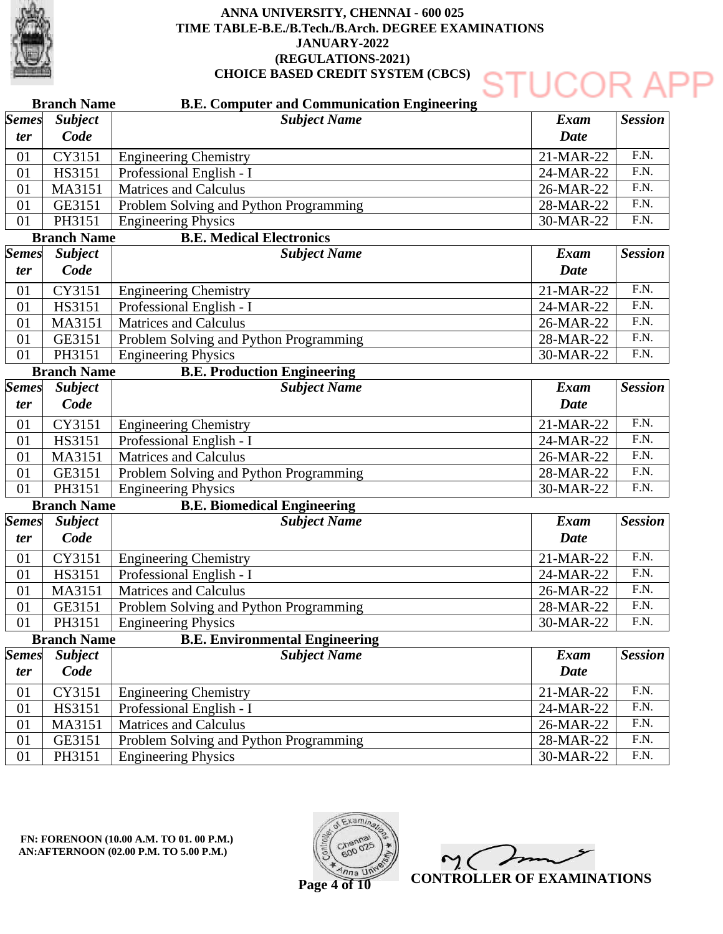

### **Branch Name Branch Name Branch Name Branch Name Branch Name B.E. Computer and Communication Engineering B.E. Medical Electronics B.E. Production Engineering B.E. Biomedical Engineering B.E. Environmental Engineering** 01 01 01  $\overline{01}$ 01 01 01 01 01 01 01 01 01 01 01 01 01 01 01 01 01 01 01 01 01 *Semes ter Semes ter Semes ter Semes ter Semes ter Subject Name Subject Name Subject Name Subject Name Subject Name Subject Code Subject Code Subject Code Subject Code Subject Code* Engineering Chemistry Professional English - I Matrices and Calculus Problem Solving and Python Programming Engineering Physics Engineering Chemistry Professional English - I Matrices and Calculus Problem Solving and Python Programming Engineering Physics Engineering Chemistry Professional English - I Matrices and Calculus Problem Solving and Python Programming Engineering Physics Engineering Chemistry Professional English - I Matrices and Calculus Problem Solving and Python Programming Engineering Physics Engineering Chemistry Professional English - I Matrices and Calculus Problem Solving and Python Programming Engineering Physics CY3151 HS3151 MA3151 GE3151 PH3151 CY3151 HS3151 MA3151 GE3151 PH3151 CY3151 HS3151 MA3151 GE3151 PH3151 CY3151 HS3151 MA3151 GE3151 PH3151 CY3151 HS3151 MA3151 GE3151 PH3151 21-MAR-22 24-MAR-22 26-MAR-22 28-MAR-22 30-MAR-22 21-MAR-22 24-MAR-22 26-MAR-22 28-MAR-22 30-MAR-22 21-MAR-22 24-MAR-22 26-MAR-22 28-MAR-22 30-MAR-22 21-MAR-22 24-MAR-22 26-MAR-22 28-MAR-22 30-MAR-22 21-MAR-22 24-MAR-22 26-MAR-22 28-MAR-22 30-MAR-22 *Exam Date Exam Date Exam Date Exam Date Exam Date Session Session Session Session Session* F.N. F.N. F.N. F.N. F.N. F.N. F.N. F.N. F.N. F.N. F.N. F.N. F.N.  $FN$ F.N. F.N. F.N. F.N. F.N. F.N. F.N. F.N. F.N. F.N. F.N.



**CONTROLLER OF EXAMINATIONS**

**Page 4 of 10**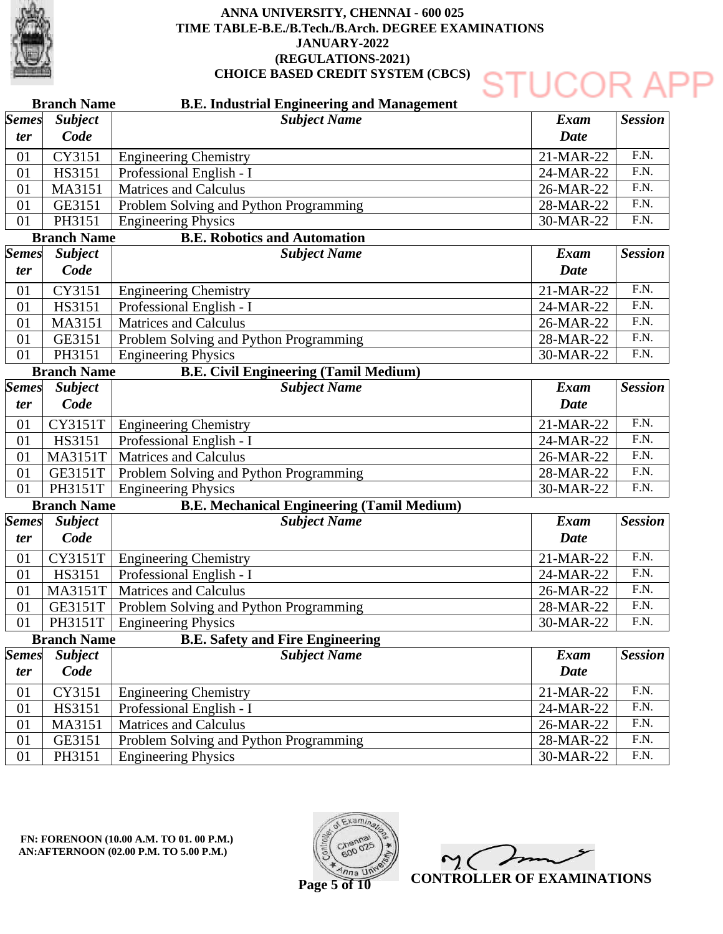

### **Branch Name Branch Name Branch Name Branch Name Branch Name B.E. Industrial Engineering and Management B.E. Robotics and Automation B.E. Civil Engineering (Tamil Medium) B.E. Mechanical Engineering (Tamil Medium) B.E. Safety and Fire Engineering** 01 01 01  $\overline{01}$ 01 01 01 01 01 01 01 01 01 01 01 01 01 01 01 01 01 01 01 01 01 *Semes ter Semes ter Semes ter Semes ter Semes ter Subject Name Subject Name Subject Name Subject Name Subject Name Subject Code Subject Code Subject Code Subject Code Subject Code* Engineering Chemistry Professional English - I Matrices and Calculus Problem Solving and Python Programming Engineering Physics Engineering Chemistry Professional English - I Matrices and Calculus Problem Solving and Python Programming Engineering Physics CY3151T | Engineering Chemistry Professional English - I MA3151T | Matrices and Calculus GE3151T | Problem Solving and Python Programming PH3151T | Engineering Physics Engineering Chemistry Professional English - I MA3151T | Matrices and Calculus GE3151T | Problem Solving and Python Programming PH3151T | Engineering Physics Engineering Chemistry Professional English - I Matrices and Calculus Problem Solving and Python Programming Engineering Physics CY3151 HS3151 MA3151 GE3151 PH3151 CY3151 HS3151 MA3151 GE3151 PH3151 HS3151 CY3151T HS3151 CY3151 HS3151 MA3151 GE3151 PH3151 21-MAR-22 24-MAR-22 26-MAR-22 28-MAR-22 30-MAR-22 21-MAR-22 24-MAR-22 26-MAR-22 28-MAR-22 30-MAR-22 21-MAR-22 24-MAR-22 26-MAR-22 28-MAR-22 30-MAR-22 21-MAR-22 24-MAR-22 26-MAR-22 28-MAR-22 30-MAR-22 21-MAR-22 24-MAR-22 26-MAR-22 28-MAR-22 30-MAR-22 *Exam Date Exam Date Exam Date Exam Date Exam Date Session Session Session Session Session* F.N. F.N. F.N. F.N. F.N. F.N. F.N. F.N. F.N. F.N. F.N. F.N. F.N.  $FN$ F.N. F.N. F.N. F.N. F.N. F.N. F.N. F.N. F.N. F.N. F.N.



**CONTROLLER OF EXAMINATIONS**

DR A

**Page 5 of 10**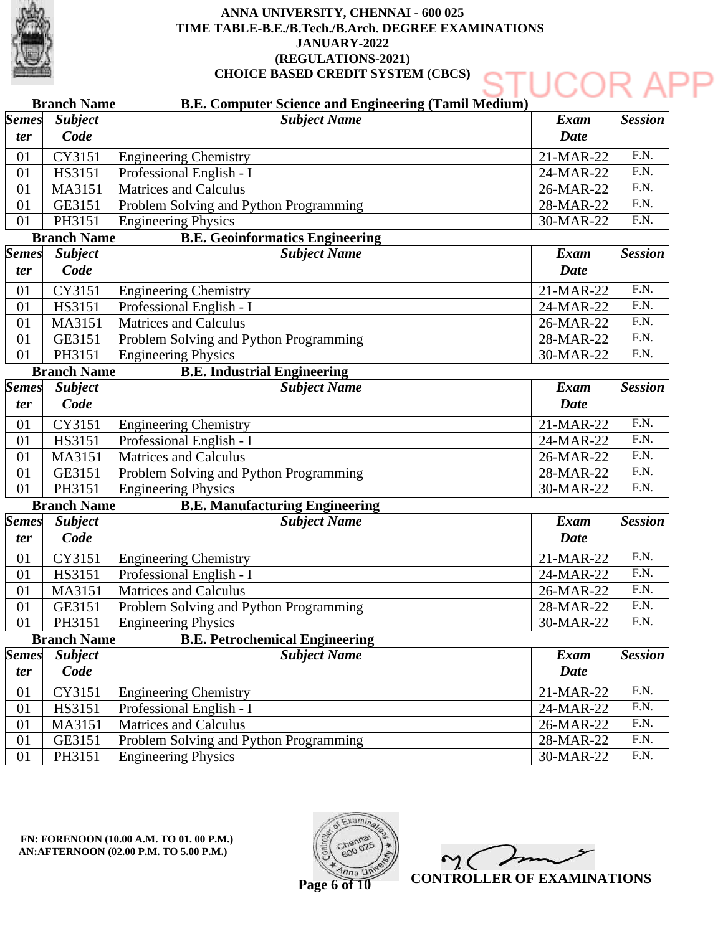

|                            | <b>Branch Name</b>     | <b>B.E. Computer Science and Engineering (Tamil Medium)</b> |                     |                   |
|----------------------------|------------------------|-------------------------------------------------------------|---------------------|-------------------|
| <b>Semes</b><br><i>ter</i> | <b>Subject</b><br>Code | <b>Subject Name</b>                                         | Exam<br><b>Date</b> | <b>Session</b>    |
| 01                         | CY3151                 | <b>Engineering Chemistry</b>                                | 21-MAR-22           | $\overline{F.N.}$ |
| 01                         | HS3151                 | Professional English - I                                    | 24-MAR-22           | $\overline{F.N.}$ |
| 01                         | MA3151                 | <b>Matrices and Calculus</b>                                | 26-MAR-22           | $\overline{F.N.}$ |
| 01                         | GE3151                 | Problem Solving and Python Programming                      | 28-MAR-22           | $\overline{F.N.}$ |
| 01                         | PH3151                 | <b>Engineering Physics</b>                                  | 30-MAR-22           | F.N.              |
|                            | <b>Branch Name</b>     | <b>B.E. Geoinformatics Engineering</b>                      |                     |                   |
| <b>Semes</b>               | <b>Subject</b>         | <b>Subject Name</b><br><b>Exam</b>                          |                     | <b>Session</b>    |
| <i>ter</i>                 | Code                   |                                                             | <b>Date</b>         |                   |
| 01                         | CY3151                 | <b>Engineering Chemistry</b>                                | 21-MAR-22           | $\overline{F.N.}$ |
| 01                         | HS3151                 | Professional English - I                                    | 24-MAR-22           | $\overline{F.N.}$ |
| 01                         | MA3151                 | <b>Matrices and Calculus</b>                                | 26-MAR-22           | F.N.              |
| 01                         | GE3151                 | Problem Solving and Python Programming                      | 28-MAR-22           | $\overline{F.N.}$ |
| 01                         | PH3151                 | <b>Engineering Physics</b>                                  | 30-MAR-22           | $\overline{F.N.}$ |
|                            | <b>Branch Name</b>     | <b>B.E. Industrial Engineering</b>                          |                     |                   |
| <b>Semes</b>               | <b>Subject</b>         | <b>Subject Name</b>                                         | Exam                | <b>Session</b>    |
| ter                        | Code                   |                                                             | <b>Date</b>         |                   |
| 01                         | CY3151                 | <b>Engineering Chemistry</b>                                | 21-MAR-22           | $\overline{F.N.}$ |
| 01                         | HS3151                 | Professional English - I                                    | 24-MAR-22           | $\overline{F.N.}$ |
| 01                         | MA3151                 | <b>Matrices and Calculus</b>                                | 26-MAR-22           | $\overline{F.N.}$ |
| 01                         | GE3151                 | Problem Solving and Python Programming                      | 28-MAR-22           | $\overline{F.N.}$ |
| 01                         | PH3151                 | <b>Engineering Physics</b>                                  | 30-MAR-22           | F.N.              |
|                            | <b>Branch Name</b>     | <b>B.E. Manufacturing Engineering</b>                       |                     |                   |
| <b>Semes</b>               | <b>Subject</b>         | <b>Subject Name</b>                                         | <b>Exam</b>         | <b>Session</b>    |
| <i>ter</i>                 | Code                   |                                                             | Date                |                   |
| 01                         | CY3151                 | <b>Engineering Chemistry</b>                                | 21-MAR-22           | $\overline{F.N.}$ |
| 01                         | HS3151                 | Professional English - I                                    | 24-MAR-22           | $\overline{F.N.}$ |
| 01                         | MA3151                 | <b>Matrices and Calculus</b>                                | 26-MAR-22           | $\overline{F.N.}$ |
| 01                         | GE3151                 | Problem Solving and Python Programming                      | 28-MAR-22           | F.N.              |
| 01                         | PH3151                 | <b>Engineering Physics</b>                                  | 30-MAR-22           | ${\rm F.N.}$      |
|                            | <b>Branch Name</b>     | <b>B.E. Petrochemical Engineering</b>                       |                     |                   |
| <b>Semes</b>               | <b>Subject</b>         | <b>Subject Name</b>                                         | <b>Exam</b>         | <b>Session</b>    |
| <i>ter</i>                 | Code                   |                                                             | <b>Date</b>         |                   |
| 01                         | CY3151                 | <b>Engineering Chemistry</b>                                | 21-MAR-22           | $\overline{FN}$ . |
| 01                         | HS3151                 | Professional English - I                                    | 24-MAR-22           | F.N.              |
| 01                         | MA3151                 | <b>Matrices and Calculus</b>                                | 26-MAR-22           | F.N.              |
| 01                         | GE3151                 | Problem Solving and Python Programming                      | 28-MAR-22           | F.N.              |
| 01                         | PH3151                 | <b>Engineering Physics</b>                                  | 30-MAR-22           | F.N.              |

**FN: FORENOON (10.00 A.M. TO 01. 00 P.M.) AN:AFTERNOON (02.00 P.M. TO 5.00 P.M.)** 



 $\gamma$ C **CONTROLLER OF EXAMINATIONS**

**Page 6 of 10**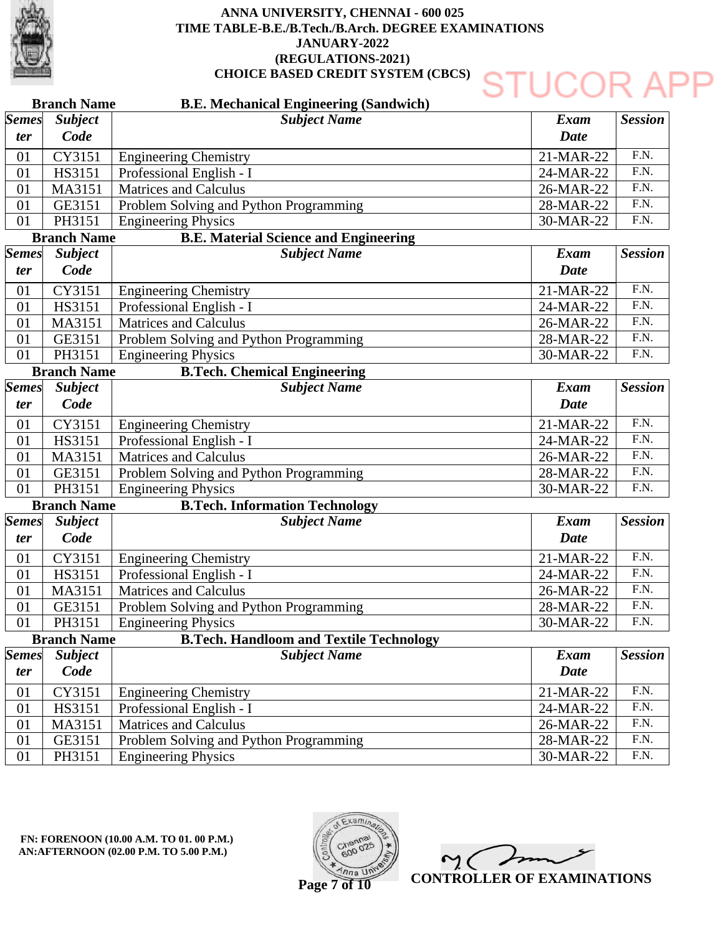

### **Branch Name Branch Name Branch Name Branch Name Branch Name B.E. Mechanical Engineering (Sandwich) B.E. Material Science and Engineering B.Tech. Chemical Engineering B.Tech. Information Technology B.Tech. Handloom and Textile Technology** 01 01 01  $\overline{01}$ 01 01 01 01 01 01 01 01 01 01 01 01 01 01 01 01 01 01 01 01 01 *Semes ter Semes ter Semes ter Semes ter Semes ter Subject Name Subject Name Subject Name Subject Name Subject Name Subject Code Subject Code Subject Code Subject Code Subject Code* Engineering Chemistry Professional English - I Matrices and Calculus Problem Solving and Python Programming Engineering Physics Engineering Chemistry Professional English - I Matrices and Calculus Problem Solving and Python Programming Engineering Physics Engineering Chemistry Professional English - I Matrices and Calculus Problem Solving and Python Programming Engineering Physics Engineering Chemistry Professional English - I Matrices and Calculus Problem Solving and Python Programming Engineering Physics Engineering Chemistry Professional English - I Matrices and Calculus Problem Solving and Python Programming Engineering Physics CY3151 HS3151 MA3151 GE3151 PH3151 CY3151 HS3151 MA3151 GE3151 PH3151 CY3151 HS3151 MA3151 GE3151 PH3151 CY3151 HS3151 MA3151 GE3151 PH3151 CY3151 HS3151 MA3151 GE3151 PH3151 21-MAR-22 24-MAR-22 26-MAR-22 28-MAR-22 30-MAR-22 21-MAR-22 24-MAR-22 26-MAR-22 28-MAR-22 30-MAR-22 21-MAR-22 24-MAR-22 26-MAR-22 28-MAR-22 30-MAR-22 21-MAR-22 24-MAR-22 26-MAR-22 28-MAR-22 30-MAR-22 21-MAR-22 24-MAR-22 26-MAR-22 28-MAR-22 30-MAR-22 *Exam Date Exam Date Exam Date Exam Date Exam Date Session Session Session Session Session* F.N. F.N. F.N. F.N. F.N. F.N. F.N. F.N. F.N. F.N. F.N. F.N. F.N.  $FN$ F.N. F.N. F.N. F.N. F.N. F.N. F.N. F.N. F.N. F.N. F.N.

**FN: FORENOON (10.00 A.M. TO 01. 00 P.M.) AN:AFTERNOON (02.00 P.M. TO 5.00 P.M.)** 



**CONTROLLER OF EXAMINATIONS**

DR A

**Page 7 of 10**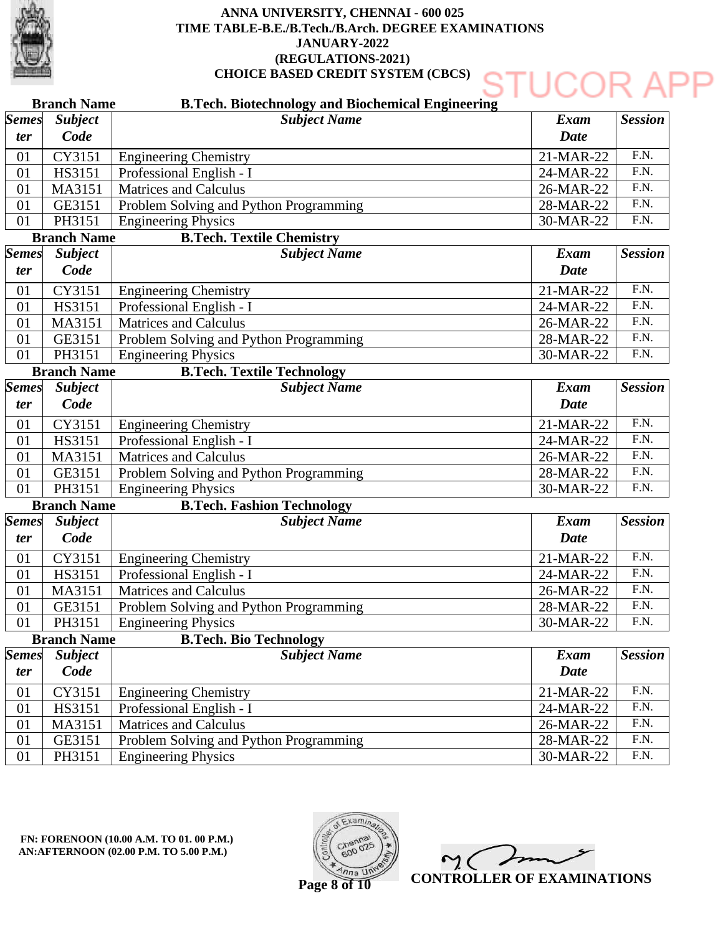

### **Branch Name Branch Name Branch Name Branch Name Branch Name B.Tech. Biotechnology and Biochemical Engineering B.Tech. Textile Chemistry B.Tech. Textile Technology B.Tech. Fashion Technology B.Tech. Bio Technology** 01 01 01  $\overline{01}$ 01 01 01 01 01 01 01 01 01 01 01 01 01 01 01 01 01 01 01 01 01 *Semes ter Semes ter Semes ter Semes ter Semes ter Subject Name Subject Name Subject Name Subject Name Subject Name Subject Code Subject Code Subject Code Subject Code Subject Code* Engineering Chemistry Professional English - I Matrices and Calculus Problem Solving and Python Programming Engineering Physics Engineering Chemistry Professional English - I Matrices and Calculus Problem Solving and Python Programming Engineering Physics Engineering Chemistry Professional English - I Matrices and Calculus Problem Solving and Python Programming Engineering Physics Engineering Chemistry Professional English - I Matrices and Calculus Problem Solving and Python Programming Engineering Physics Engineering Chemistry Professional English - I Matrices and Calculus Problem Solving and Python Programming Engineering Physics CY3151 HS3151 MA3151 GE3151 PH3151 CY3151 HS3151 MA3151 GE3151 PH3151 CY3151 HS3151 MA3151 GE3151 PH3151 CY3151 HS3151 MA3151 GE3151 PH3151 CY3151 HS3151 MA3151 GE3151 PH3151 21-MAR-22 24-MAR-22 26-MAR-22 28-MAR-22 30-MAR-22 21-MAR-22 24-MAR-22 26-MAR-22 28-MAR-22 30-MAR-22 21-MAR-22 24-MAR-22 26-MAR-22 28-MAR-22 30-MAR-22 21-MAR-22 24-MAR-22 26-MAR-22 28-MAR-22 30-MAR-22 21-MAR-22 24-MAR-22 26-MAR-22 28-MAR-22 30-MAR-22 *Exam Date Exam Date Exam Date Exam Date Exam Date Session Session Session Session Session* F.N. F.N. F.N. F.N. F.N. F.N. F.N. F.N. F.N. F.N. F.N. F.N. F.N.  $FN$ F.N. F.N. F.N. F.N. F.N. F.N. F.N. F.N. F.N. F.N. F.N.



**CONTROLLER OF EXAMINATIONS**

**Page 8 of 10**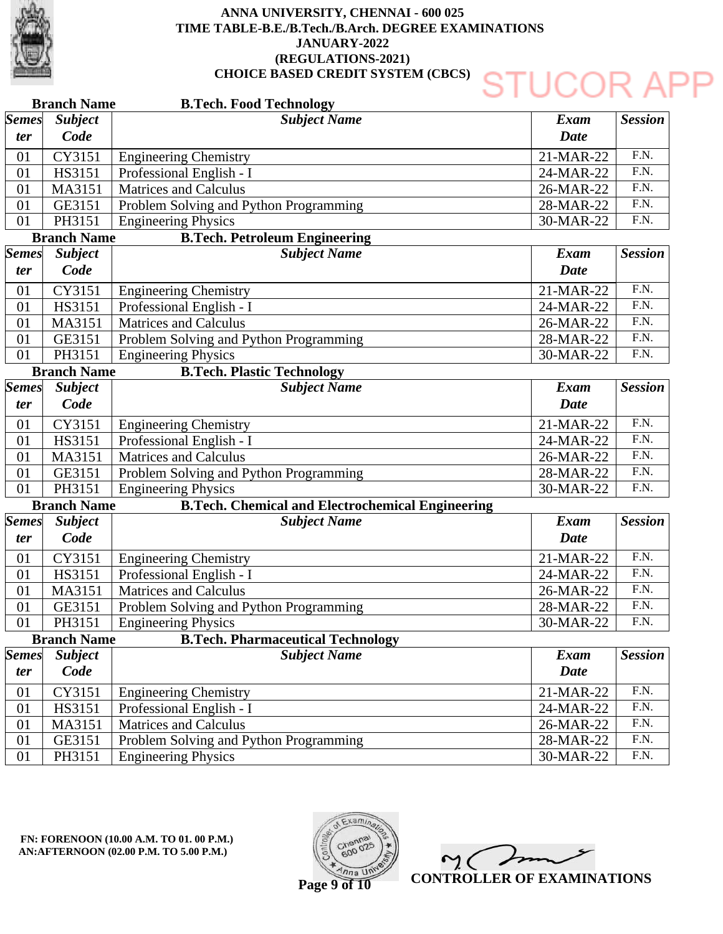

|                     | <b>Branch Name</b>     | <b>B.Tech. Food Technology</b>                          |                     |                   |
|---------------------|------------------------|---------------------------------------------------------|---------------------|-------------------|
| <b>Semes</b><br>ter | <b>Subject</b><br>Code | <b>Subject Name</b>                                     | Exam<br><b>Date</b> | <b>Session</b>    |
| 01                  | CY3151                 | <b>Engineering Chemistry</b>                            | 21-MAR-22           | F.N.              |
| 01                  | HS3151                 | Professional English - I                                | 24-MAR-22           | $\overline{F.N.}$ |
| 01                  | MA3151                 | <b>Matrices and Calculus</b>                            | 26-MAR-22           | $\overline{F.N.}$ |
| 01                  | GE3151                 | Problem Solving and Python Programming                  | 28-MAR-22           | F.N.              |
| 01                  | PH3151                 | <b>Engineering Physics</b>                              | 30-MAR-22           | F.N.              |
|                     | <b>Branch Name</b>     | <b>B.Tech. Petroleum Engineering</b>                    |                     |                   |
| <b>Semes</b>        | <b>Subject</b>         | <b>Subject Name</b>                                     | <b>Exam</b>         | <b>Session</b>    |
| ter                 | Code                   |                                                         | <b>Date</b>         |                   |
| 01                  | CY3151                 | <b>Engineering Chemistry</b>                            | 21-MAR-22           | F.N.              |
| 01                  | HS3151                 | Professional English - I                                | 24-MAR-22           | $\overline{F.N.}$ |
| 01                  | MA3151                 | <b>Matrices and Calculus</b>                            | 26-MAR-22           | F.N.              |
| 01                  | GE3151                 | Problem Solving and Python Programming                  | 28-MAR-22           | $\overline{F.N.}$ |
| 01                  | PH3151                 | <b>Engineering Physics</b>                              | 30-MAR-22           | F.N.              |
|                     | <b>Branch Name</b>     | <b>B.Tech. Plastic Technology</b>                       |                     |                   |
| <b>Semes</b>        | <b>Subject</b>         | <b>Subject Name</b>                                     | <b>Exam</b>         | <b>Session</b>    |
| <i>ter</i>          | Code                   |                                                         | <b>Date</b>         |                   |
| 01                  | CY3151                 | <b>Engineering Chemistry</b>                            | 21-MAR-22           | $\overline{F.N.}$ |
| 01                  | <b>HS3151</b>          | Professional English - I                                | 24-MAR-22           | $\overline{F.N.}$ |
| 01                  | MA3151                 | <b>Matrices and Calculus</b>                            | 26-MAR-22           | $\overline{F.N.}$ |
| 01                  | GE3151                 | Problem Solving and Python Programming                  | 28-MAR-22           | $\overline{F.N.}$ |
| 01                  | PH3151                 | <b>Engineering Physics</b>                              | 30-MAR-22           | $\overline{F.N.}$ |
|                     | <b>Branch Name</b>     | <b>B.Tech. Chemical and Electrochemical Engineering</b> |                     |                   |
| <b>Semes</b>        | <b>Subject</b>         | <b>Subject Name</b>                                     | <b>Exam</b>         | <b>Session</b>    |
| ter                 | Code                   |                                                         | <b>Date</b>         |                   |
| 01                  | CY3151                 | <b>Engineering Chemistry</b>                            | 21-MAR-22           | F.N.              |
| 01                  | HS3151                 | Professional English - I                                | 24-MAR-22           | F.N.              |
| 01                  | MA3151                 | <b>Matrices and Calculus</b>                            | 26-MAR-22           | $\overline{F.N.}$ |
| 01                  | GE3151                 | Problem Solving and Python Programming                  | 28-MAR-22           | $\overline{F.N.}$ |
| 01                  | PH3151                 | Engineering Physics                                     | 30-MAR-22           | F.N.              |
|                     | <b>Branch Name</b>     | <b>B.Tech. Pharmaceutical Technology</b>                |                     |                   |
| <i><b>Semes</b></i> | <b>Subject</b>         | <b>Subject Name</b>                                     | <b>Exam</b>         | <b>Session</b>    |
| <i>ter</i>          | Code                   |                                                         | <b>Date</b>         |                   |
| 01                  | CY3151                 | <b>Engineering Chemistry</b>                            | 21-MAR-22           | F.N.              |
| 01                  | HS3151                 | Professional English - I                                | 24-MAR-22           | $\overline{F.N.}$ |
| 01                  | MA3151                 | <b>Matrices and Calculus</b>                            | 26-MAR-22           | F.N.              |
| 01                  | GE3151                 | Problem Solving and Python Programming                  | 28-MAR-22           | F.N.              |
| 01                  | PH3151                 | <b>Engineering Physics</b>                              | 30-MAR-22           | F.N.              |

**FN: FORENOON (10.00 A.M. TO 01. 00 P.M.) AN:AFTERNOON (02.00 P.M. TO 5.00 P.M.)** 



Y C **CONTROLLER OF EXAMINATIONS**

**Page 9 of 10**